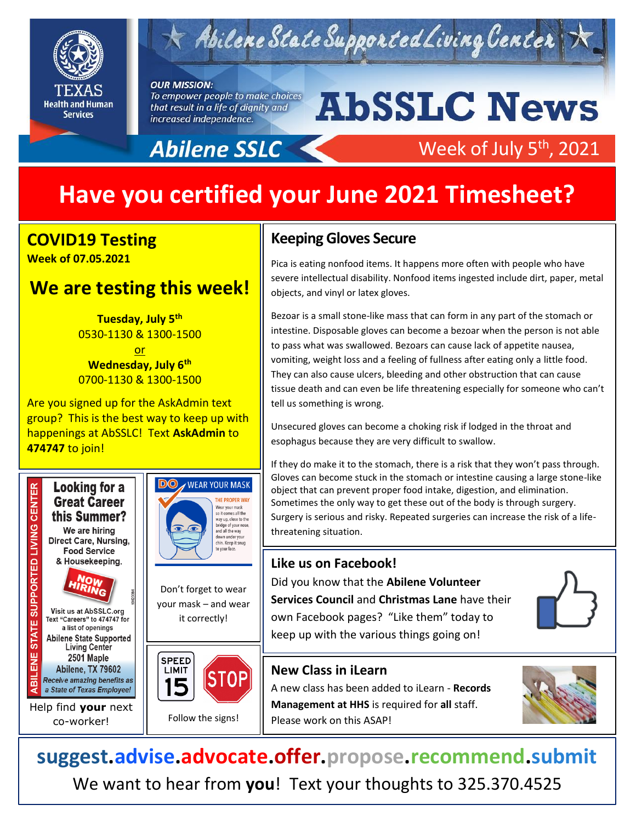

# $\forall$  Abilene State Supported Living Center

#### **OUR MISSION:**

To empower people to make choices that result in a life of dignity and increased independence.

# **AbSSLC News**

# **Abilene SSLC**

## Week of July 5<sup>th</sup>, 2021

# **Have you certified your June 2021 Timesheet?**

### **COVID19 Testing Week of 07.05.2021**

## **We are testing this week!**

**Tuesday, July 5th** 0530-1130 & 1300-1500

<u>or</u> **Wednesday, July 6th** 0700-1130 & 1300-1500

Are you signed up for the AskAdmin text group? This is the best way to keep up with happenings at AbSSLC! Text **AskAdmin** to **474747** to join!





Don't forget to wear your mask – and wear







Follow the signs!

## **Keeping Gloves Secure**

Pica is eating nonfood items. It happens more often with people who have severe intellectual disability. Nonfood items ingested include dirt, paper, metal objects, and vinyl or latex gloves.

Bezoar is a small stone-like mass that can form in any part of the stomach or intestine. Disposable gloves can become a bezoar when the person is not able to pass what was swallowed. Bezoars can cause lack of appetite nausea, vomiting, weight loss and a feeling of fullness after eating only a little food. They can also cause ulcers, bleeding and other obstruction that can cause tissue death and can even be life threatening especially for someone who can't tell us something is wrong.

Unsecured gloves can become a choking risk if lodged in the throat and esophagus because they are very difficult to swallow.

If they do make it to the stomach, there is a risk that they won't pass through. Gloves can become stuck in the stomach or intestine causing a large stone-like object that can prevent proper food intake, digestion, and elimination. Sometimes the only way to get these out of the body is through surgery. Surgery is serious and risky. Repeated surgeries can increase the risk of a lifethreatening situation.

### **Like us on Facebook!**

Did you know that the **Abilene Volunteer Services Council** and **Christmas Lane** have their own Facebook pages? "Like them" today to keep up with the various things going on!



## **New Class in iLearn**

A new class has been added to iLearn - **Records Management at HHS** is required for **all** staff. Please work on this ASAP!



**suggest.advise.advocate.offer.propose.recommend.submit** We want to hear from **you**! Text your thoughts to 325.370.4525